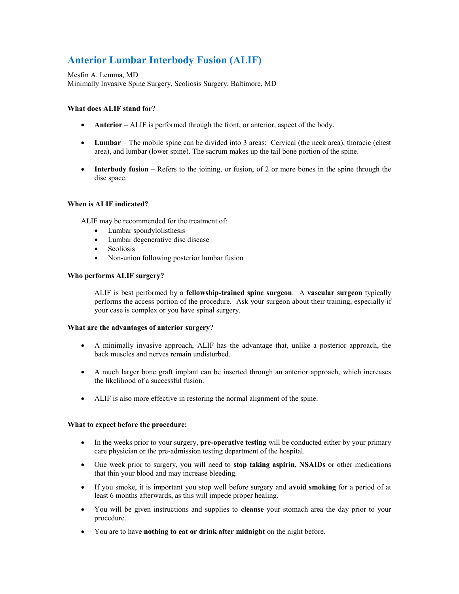# **Anterior Lumbar Interbody Fusion (ALIF)**

Mesfin A. Lemma, MD Minimally Invasive Spine Surgery, Scoliosis Surgery, Baltimore, MD

## **What does ALIF stand for?**

- **Anterior** ALIF is performed through the front, or anterior, aspect of the body.
- **Lumbar** The mobile spine can be divided into 3 areas: Cervical (the neck area), thoracic (chest area), and lumbar (lower spine). The sacrum makes up the tail bone portion of the spine.
- **Interbody fusion** Refers to the joining, or fusion, of 2 or more bones in the spine through the disc space.

# **When is ALIF indicated?**

ALIF may be recommended for the treatment of:

- Lumbar spondylolisthesis
- Lumbar degenerative disc disease
- Scoliosis
- Non-union following posterior lumbar fusion

#### **Who performs ALIF surgery?**

ALIF is best performed by a **fellowship-trained spine surgeon**. A **vascular surgeon** typically performs the access portion of the procedure. Ask your surgeon about their training, especially if your case is complex or you have spinal surgery.

#### **What are the advantages of anterior surgery?**

- A minimally invasive approach, ALIF has the advantage that, unlike a posterior approach, the back muscles and nerves remain undisturbed.
- A much larger bone graft implant can be inserted through an anterior approach, which increases the likelihood of a successful fusion.
- ALIF is also more effective in restoring the normal alignment of the spine.

## **What to expect before the procedure:**

- In the weeks prior to your surgery, **pre-operative testing** will be conducted either by your primary care physician or the pre-admission testing department of the hospital.
- One week prior to surgery, you will need to **stop taking aspirin, NSAIDs** or other medications that thin your blood and may increase bleeding.
- If you smoke, it is important you stop well before surgery and **avoid smoking** for a period of at least 6 months afterwards, as this will impede proper healing.
- You will be given instructions and supplies to **cleanse** your stomach area the day prior to your procedure.
- You are to have **nothing to eat or drink after midnight** on the night before.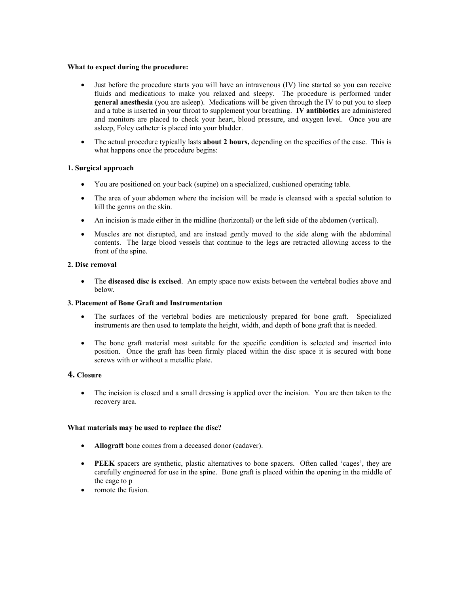#### **What to expect during the procedure:**

- Just before the procedure starts you will have an intravenous (IV) line started so you can receive fluids and medications to make you relaxed and sleepy. The procedure is performed under **general anesthesia** (you are asleep). Medications will be given through the IV to put you to sleep and a tube is inserted in your throat to supplement your breathing. **IV antibiotics** are administered and monitors are placed to check your heart, blood pressure, and oxygen level. Once you are asleep, Foley catheter is placed into your bladder.
- The actual procedure typically lasts **about 2 hours,** depending on the specifics of the case. This is what happens once the procedure begins:

# **1. Surgical approach**

- You are positioned on your back (supine) on a specialized, cushioned operating table.
- The area of your abdomen where the incision will be made is cleansed with a special solution to kill the germs on the skin.
- An incision is made either in the midline (horizontal) or the left side of the abdomen (vertical).
- Muscles are not disrupted, and are instead gently moved to the side along with the abdominal contents. The large blood vessels that continue to the legs are retracted allowing access to the front of the spine.

# **2. Disc removal**

 The **diseased disc is excised**. An empty space now exists between the vertebral bodies above and below.

# **3. Placement of Bone Graft and Instrumentation**

- The surfaces of the vertebral bodies are meticulously prepared for bone graft. Specialized instruments are then used to template the height, width, and depth of bone graft that is needed.
- The bone graft material most suitable for the specific condition is selected and inserted into position. Once the graft has been firmly placed within the disc space it is secured with bone screws with or without a metallic plate.

# **4. Closure**

• The incision is closed and a small dressing is applied over the incision. You are then taken to the recovery area.

# **What materials may be used to replace the disc?**

- **Allograft** bone comes from a deceased donor (cadaver).
- **PEEK** spacers are synthetic, plastic alternatives to bone spacers. Often called 'cages', they are carefully engineered for use in the spine. Bone graft is placed within the opening in the middle of the cage to p
- romote the fusion.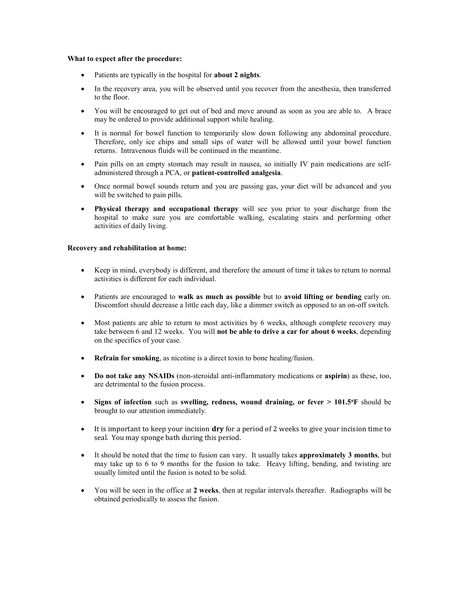#### **What to expect after the procedure:**

- Patients are typically in the hospital for **about 2 nights**.
- In the recovery area, you will be observed until you recover from the anesthesia, then transferred to the floor.
- You will be encouraged to get out of bed and move around as soon as you are able to. A brace may be ordered to provide additional support while healing.
- It is normal for bowel function to temporarily slow down following any abdominal procedure. Therefore, only ice chips and small sips of water will be allowed until your bowel function returns. Intravenous fluids will be continued in the meantime.
- Pain pills on an empty stomach may result in nausea, so initially IV pain medications are selfadministered through a PCA, or **patient-controlled analgesia**.
- Once normal bowel sounds return and you are passing gas, your diet will be advanced and you will be switched to pain pills.
- **Physical therapy and occupational therapy** will see you prior to your discharge from the hospital to make sure you are comfortable walking, escalating stairs and performing other activities of daily living.

### **Recovery and rehabilitation at home:**

- Keep in mind, everybody is different, and therefore the amount of time it takes to return to normal activities is different for each individual.
- Patients are encouraged to **walk as much as possible** but to **avoid lifting or bending** early on. Discomfort should decrease a little each day, like a dimmer switch as opposed to an on-off switch.
- Most patients are able to return to most activities by 6 weeks, although complete recovery may take between 6 and 12 weeks. You will **not be able to drive a car for about 6 weeks**, depending on the specifics of your case.
- **Refrain for smoking**, as nicotine is a direct toxin to bone healing/fusion.
- **Do not take any NSAIDs** (non-steroidal anti-inflammatory medications or **aspirin**) as these, too, are detrimental to the fusion process.
- **Signs of infection** such as **swelling, redness, wound draining, or fever > 101.5<sup>o</sup>F** should be brought to our attention immediately.
- It is important to keep your incision **dry** for a period of 2 weeks to give your incision time to seal. You may sponge bath during this period.
- It should be noted that the time to fusion can vary. It usually takes **approximately 3 months**, but may take up to 6 to 9 months for the fusion to take. Heavy lifting, bending, and twisting are usually limited until the fusion is noted to be solid.
- You will be seen in the office at **2 weeks**, then at regular intervals thereafter. Radiographs will be obtained periodically to assess the fusion.